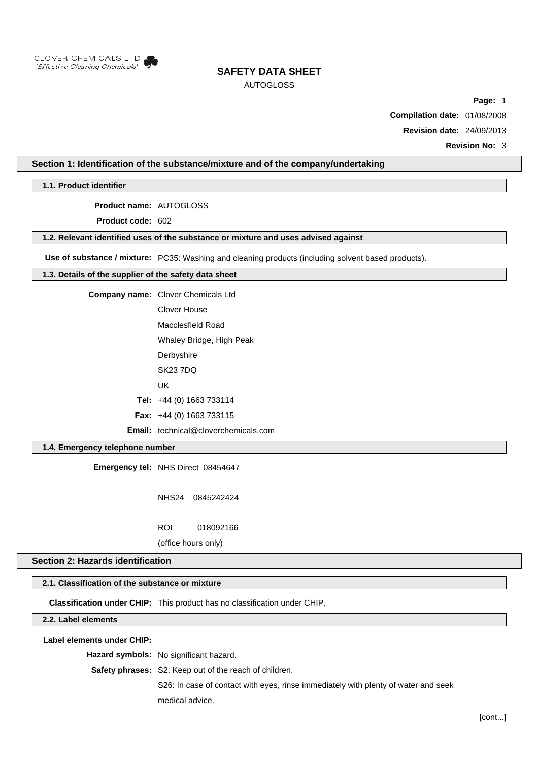

# AUTOGLOSS

**Page:** 1

**Compilation date:** 01/08/2008

**Revision date:** 24/09/2013

**Revision No:** 3

# **Section 1: Identification of the substance/mixture and of the company/undertaking**

**1.1. Product identifier**

**Product name:** AUTOGLOSS

**Product code:** 602

### **1.2. Relevant identified uses of the substance or mixture and uses advised against**

**Use of substance / mixture:** PC35: Washing and cleaning products (including solvent based products).

## **1.3. Details of the supplier of the safety data sheet**

**Company name:** Clover Chemicals Ltd

Clover House Macclesfield Road

Whaley Bridge, High Peak

**Derbyshire** 

SK23 7DQ

UK

**Tel:** +44 (0) 1663 733114

**Fax:** +44 (0) 1663 733115

**Email:** technical@cloverchemicals.com

# **1.4. Emergency telephone number**

**Emergency tel:** NHS Direct 08454647

NHS24 0845242424

ROI 018092166

(office hours only)

# **Section 2: Hazards identification**

#### **2.1. Classification of the substance or mixture**

**Classification under CHIP:** This product has no classification under CHIP.

### **2.2. Label elements**

## **Label elements under CHIP:**

**Hazard symbols:** No significant hazard.

**Safety phrases:** S2: Keep out of the reach of children.

S26: In case of contact with eyes, rinse immediately with plenty of water and seek medical advice.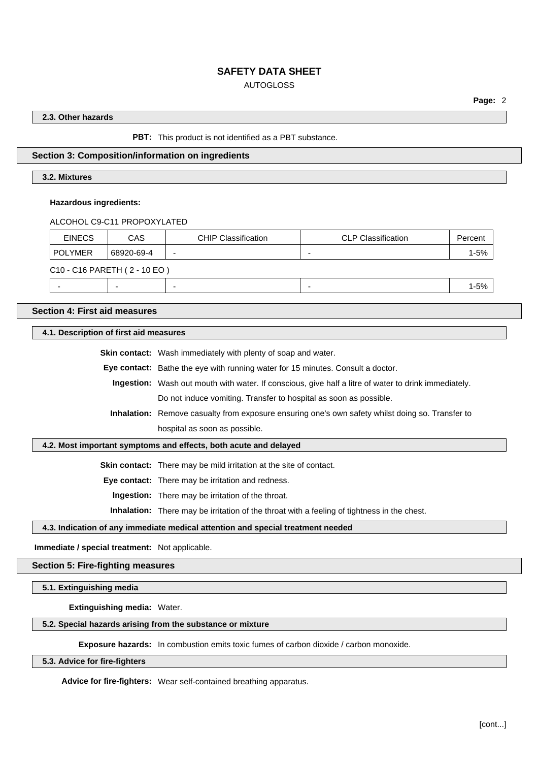# AUTOGLOSS

## **2.3. Other hazards**

#### **PBT:** This product is not identified as a PBT substance.

## **Section 3: Composition/information on ingredients**

# **3.2. Mixtures**

#### **Hazardous ingredients:**

#### ALCOHOL C9-C11 PROPOXYLATED

| <b>EINECS</b>                | CAS        | <b>CHIP Classification</b> | <b>CLP Classification</b> | Percent  |  |
|------------------------------|------------|----------------------------|---------------------------|----------|--|
| <b>POLYMER</b>               | 68920-69-4 |                            |                           | $1 - 5%$ |  |
| C10 - C16 PARETH (2 - 10 EO) |            |                            |                           |          |  |
|                              | -          |                            |                           | $1 - 5%$ |  |

**Section 4: First aid measures**

**4.1. Description of first aid measures**

**Skin contact:** Wash immediately with plenty of soap and water.

**Eye contact:** Bathe the eye with running water for 15 minutes. Consult a doctor.

**Ingestion:** Wash out mouth with water. If conscious, give half a litre of water to drink immediately. Do not induce vomiting. Transfer to hospital as soon as possible.

**Inhalation:** Remove casualty from exposure ensuring one's own safety whilst doing so. Transfer to hospital as soon as possible.

#### **4.2. Most important symptoms and effects, both acute and delayed**

**Skin contact:** There may be mild irritation at the site of contact.

**Eye contact:** There may be irritation and redness.

**Ingestion:** There may be irritation of the throat.

**Inhalation:** There may be irritation of the throat with a feeling of tightness in the chest.

#### **4.3. Indication of any immediate medical attention and special treatment needed**

**Immediate / special treatment:** Not applicable.

#### **Section 5: Fire-fighting measures**

**5.1. Extinguishing media**

**Extinguishing media:** Water.

#### **5.2. Special hazards arising from the substance or mixture**

**Exposure hazards:** In combustion emits toxic fumes of carbon dioxide / carbon monoxide.

#### **5.3. Advice for fire-fighters**

**Advice for fire-fighters:** Wear self-contained breathing apparatus.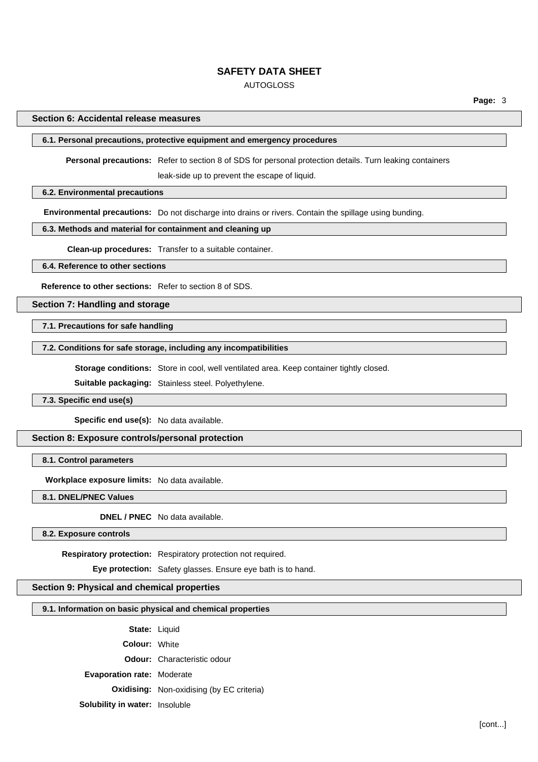# AUTOGLOSS

#### **Section 6: Accidental release measures**

# **6.1. Personal precautions, protective equipment and emergency procedures**

**Personal precautions:** Refer to section 8 of SDS for personal protection details. Turn leaking containers

leak-side up to prevent the escape of liquid.

# **6.2. Environmental precautions**

**Environmental precautions:** Do not discharge into drains or rivers. Contain the spillage using bunding.

# **6.3. Methods and material for containment and cleaning up**

**Clean-up procedures:** Transfer to a suitable container.

#### **6.4. Reference to other sections**

**Reference to other sections:** Refer to section 8 of SDS.

## **Section 7: Handling and storage**

**7.1. Precautions for safe handling**

### **7.2. Conditions for safe storage, including any incompatibilities**

**Storage conditions:** Store in cool, well ventilated area. Keep container tightly closed.

**Suitable packaging:** Stainless steel. Polyethylene.

# **7.3. Specific end use(s)**

**Specific end use(s):** No data available.

#### **Section 8: Exposure controls/personal protection**

**8.1. Control parameters**

**Workplace exposure limits:** No data available.

**8.1. DNEL/PNEC Values**

**DNEL / PNEC** No data available.

**8.2. Exposure controls**

**Respiratory protection:** Respiratory protection not required.

**Eye protection:** Safety glasses. Ensure eye bath is to hand.

#### **Section 9: Physical and chemical properties**

## **9.1. Information on basic physical and chemical properties**

**State:** Liquid

**Colour:** White

**Odour:** Characteristic odour

**Evaporation rate:** Moderate

**Oxidising:** Non-oxidising (by EC criteria)

**Solubility in water:** Insoluble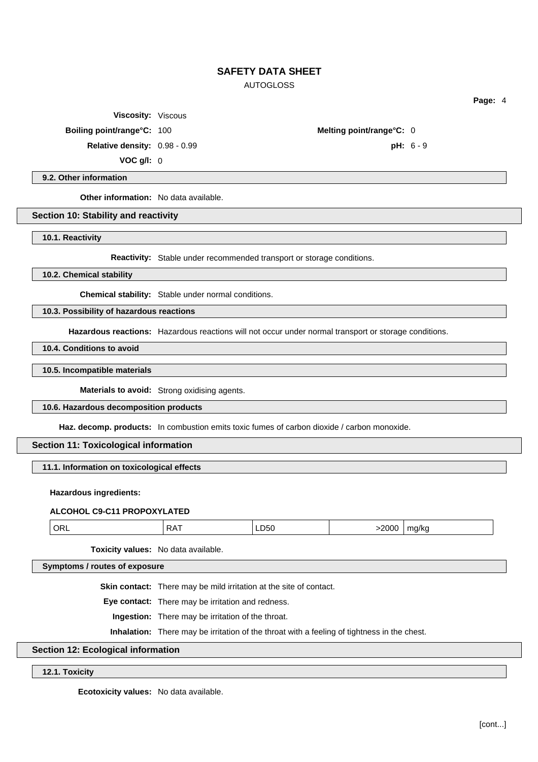# AUTOGLOSS

**Viscosity:** Viscous

**Boiling point/range°C:** 100 **Melting point/range°C:** 0

**Relative density:** 0.98 - 0.99 **pH:** 6 - 9

**VOC g/l:** 0

## **9.2. Other information**

**Other information:** No data available.

#### **Section 10: Stability and reactivity**

**10.1. Reactivity**

**Reactivity:** Stable under recommended transport or storage conditions.

**10.2. Chemical stability**

**Chemical stability:** Stable under normal conditions.

# **10.3. Possibility of hazardous reactions**

**Hazardous reactions:** Hazardous reactions will not occur under normal transport or storage conditions.

**10.4. Conditions to avoid**

#### **10.5. Incompatible materials**

**Materials to avoid:** Strong oxidising agents.

## **10.6. Hazardous decomposition products**

**Haz. decomp. products:** In combustion emits toxic fumes of carbon dioxide / carbon monoxide.

# **Section 11: Toxicological information**

**11.1. Information on toxicological effects**

#### **Hazardous ingredients:**

# **ALCOHOL C9-C11 PROPOXYLATED**

| ЭR<br>-D50 -<br>7 T 1 C<br>7 K .<br>$\sim$ $\sim$<br>$- - -$<br>. |
|-------------------------------------------------------------------|
|-------------------------------------------------------------------|

**Toxicity values:** No data available.

**Symptoms / routes of exposure**

**Skin contact:** There may be mild irritation at the site of contact.

**Eye contact:** There may be irritation and redness.

**Ingestion:** There may be irritation of the throat.

**Inhalation:** There may be irritation of the throat with a feeling of tightness in the chest.

# **Section 12: Ecological information**

## **12.1. Toxicity**

**Ecotoxicity values:** No data available.

**Page:** 4